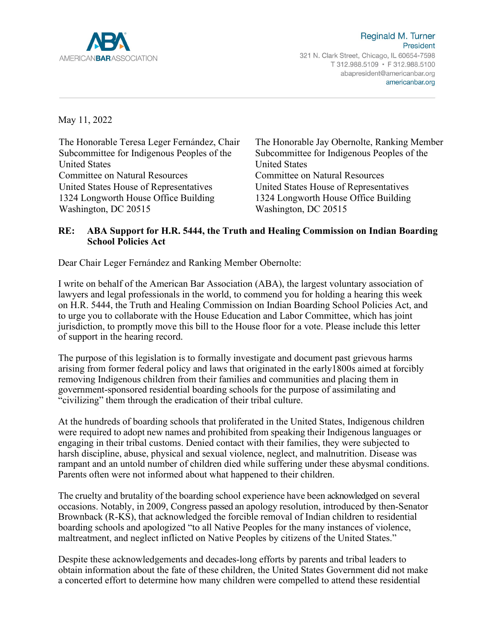

Reginald M. Turner President 321 N. Clark Street, Chicago, IL 60654-7598 T 312.988.5109 · F 312.988.5100 abapresident@americanbar.org americanbar.org

May 11, 2022

The Honorable Teresa Leger Fernández, Chair Subcommittee for Indigenous Peoples of the United States Committee on Natural Resources United States House of Representatives 1324 Longworth House Office Building Washington, DC 20515

The Honorable Jay Obernolte, Ranking Member Subcommittee for Indigenous Peoples of the United States Committee on Natural Resources United States House of Representatives 1324 Longworth House Office Building Washington, DC 20515

## **RE: ABA Support for H.R. 5444, the Truth and Healing Commission on Indian Boarding School Policies Act**

Dear Chair Leger Fernández and Ranking Member Obernolte:

I write on behalf of the American Bar Association (ABA), the largest voluntary association of lawyers and legal professionals in the world, to commend you for holding a hearing this week on H.R. 5444, the Truth and Healing Commission on Indian Boarding School Policies Act, and to urge you to collaborate with the House Education and Labor Committee, which has joint jurisdiction, to promptly move this bill to the House floor for a vote. Please include this letter of support in the hearing record.

The purpose of this legislation is to formally investigate and document past grievous harms arising from former federal policy and laws that originated in the early1800s aimed at forcibly removing Indigenous children from their families and communities and placing them in government-sponsored residential boarding schools for the purpose of assimilating and "civilizing" them through the eradication of their tribal culture.

At the hundreds of boarding schools that proliferated in the United States, Indigenous children were required to adopt new names and prohibited from speaking their Indigenous languages or engaging in their tribal customs. Denied contact with their families, they were subjected to harsh discipline, abuse, physical and sexual violence, neglect, and malnutrition. Disease was rampant and an untold number of children died while suffering under these abysmal conditions. Parents often were not informed about what happened to their children.

The cruelty and brutality of the boarding school experience have been acknowledged on several occasions. Notably, in 2009, Congress passed an apology resolution, introduced by then-Senator Brownback (R-KS), that acknowledged the forcible removal of Indian children to residential boarding schools and apologized "to all Native Peoples for the many instances of violence, maltreatment, and neglect inflicted on Native Peoples by citizens of the United States."

Despite these acknowledgements and decades-long efforts by parents and tribal leaders to obtain information about the fate of these children, the United States Government did not make a concerted effort to determine how many children were compelled to attend these residential